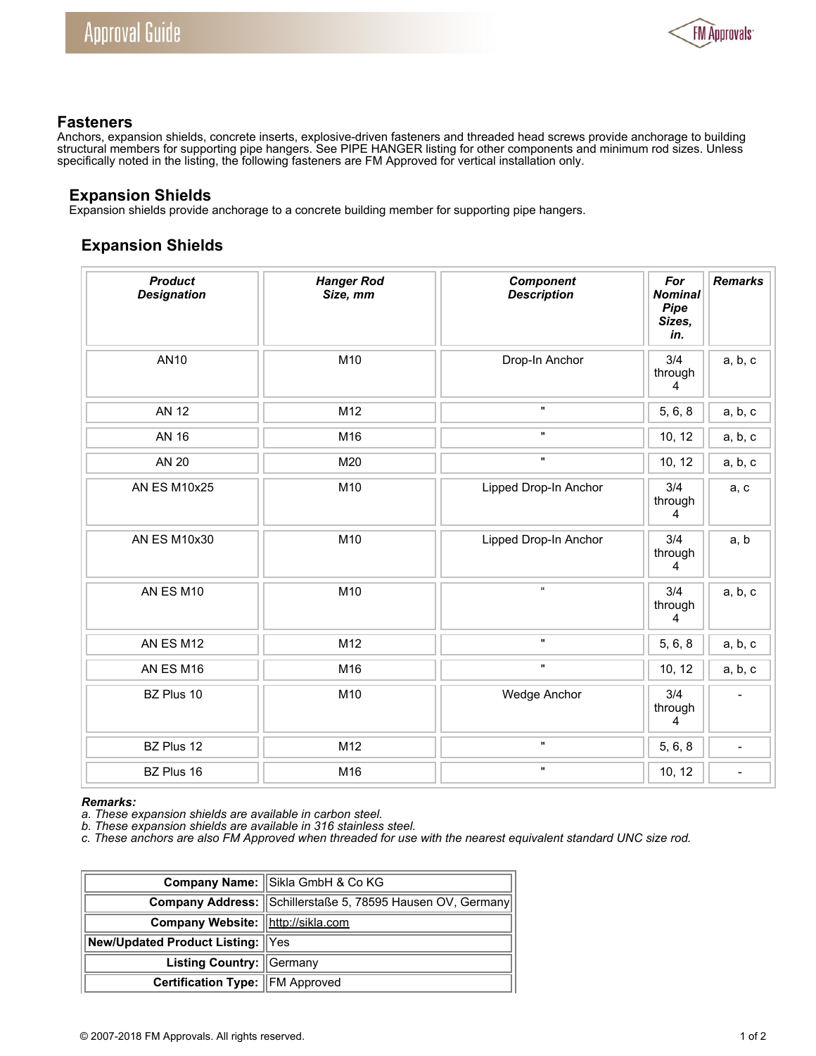

## **Fasteners**

Anchors, expansion shields, concrete inserts, explosive-driven fasteners and threaded head screws provide anchorage to building structural members for supporting pipe hangers. See PIPE HANGER listing for other components and minimum rod sizes. Unless specifically noted in the listing, the following fasteners are FM Approved for vertical installation only.

## **Expansion Shields**

Expansion shields provide anchorage to a concrete building member for supporting pipe hangers.

## **Expansion Shields**

| <b>Product</b><br><b>Designation</b> | <b>Hanger Rod</b><br>Size, mm | <b>Component</b><br><b>Description</b> | For<br><b>Nominal</b><br><b>Pipe</b><br>Sizes,<br>in. | <b>Remarks</b>           |
|--------------------------------------|-------------------------------|----------------------------------------|-------------------------------------------------------|--------------------------|
| <b>AN10</b>                          | M10                           | Drop-In Anchor                         | 3/4<br>through<br>4                                   | a, b, c                  |
| <b>AN 12</b>                         | M12                           | $\mathbf{u}$                           | 5, 6, 8                                               | a, b, c                  |
| <b>AN 16</b>                         | M16                           | $\mathbf{H}$                           | 10, 12                                                | a, b, c                  |
| <b>AN 20</b>                         | M20                           | $\mathbf{H}$                           | 10, 12                                                | a, b, c                  |
| <b>AN ES M10x25</b>                  | M10                           | Lipped Drop-In Anchor                  | 3/4<br>through<br>4                                   | a, c                     |
| <b>AN ES M10x30</b>                  | M10                           | Lipped Drop-In Anchor                  | 3/4<br>through<br>4                                   | a, b                     |
| AN ES M10                            | M10                           | $\alpha$                               | 3/4<br>through<br>4                                   | a, b, c                  |
| AN ES M12                            | M12                           | $\mathbf{H}$                           | 5, 6, 8                                               | a, b, c                  |
| AN ES M16                            | M16                           |                                        | 10, 12                                                | a, b, c                  |
| BZ Plus 10                           | M10                           | Wedge Anchor                           | 3/4<br>through<br>4                                   | $\overline{\phantom{a}}$ |
| BZ Plus 12                           | M12                           | $\mathbf{u}$                           | 5, 6, 8                                               | $\overline{\phantom{a}}$ |
| BZ Plus 16                           | M16                           | $\pmb{\mathsf{H}}$                     | 10, 12                                                | $\overline{\phantom{a}}$ |

## *Remarks:*

*a. These expansion shields are available in carbon steel.*

*b. These expansion shields are available in 316 stainless steel.*

*c. These anchors are also FM Approved when threaded for use with the nearest equivalent standard UNC size rod.*

|                                        | Company Name: Sikla GmbH & Co KG                           |  |  |  |
|----------------------------------------|------------------------------------------------------------|--|--|--|
|                                        | Company Address: Schillerstaße 5, 78595 Hausen OV, Germany |  |  |  |
| Company Website:  http://sikla.com     |                                                            |  |  |  |
| New/Updated Product Listing: Yes       |                                                            |  |  |  |
| Listing Country: Germany               |                                                            |  |  |  |
| <b>Certification Type: FM Approved</b> |                                                            |  |  |  |